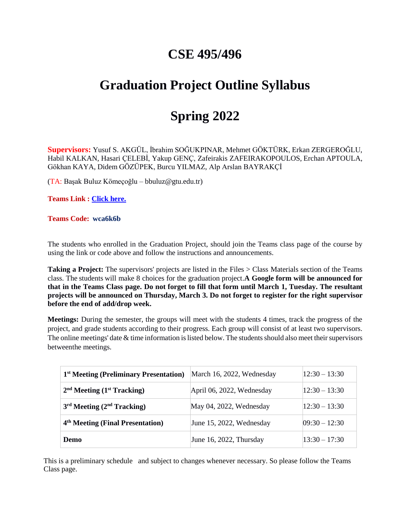### **CSE 495/496**

# **Graduation Project Outline Syllabus**

## **Spring 2022**

**Supervisors:** Yusuf S. AKGÜL, İbrahim SOĞUKPINAR, Mehmet GÖKTÜRK, Erkan ZERGEROĞLU, Habil KALKAN, Hasari ÇELEBİ, Yakup GENÇ, Zafeirakis ZAFEIRAKOPOULOS, Erchan APTOULA, Gökhan KAYA, Didem GÖZÜPEK, Burcu YILMAZ, Alp Arslan BAYRAKÇİ

(TA: Başak Buluz Kömeçoğlu – bbuluz@gtu.edu.tr)

**Teams Link : [Click here.](https://teams.microsoft.com/l/team/19%3aaQjvfTRUsl85SQLvZKteJSsHsXpvi5RgdX7XUd7-oKg1%40thread.tacv2/conversations?groupId=8324b6c3-e8f3-4b2c-9f3f-0dd364ae01b6&tenantId=066690f2-a8a6-4889-852e-124371dcbd6f)**

#### **Teams Code: wca6k6b**

The students who enrolled in the Graduation Project, should join the Teams class page of the course by using the link or code above and follow the instructions and announcements.

**Taking a Project:** The supervisors' projects are listed in the Files  $>$  Class Materials section of the Teams class. The students will make 8 choices for the graduation project.**A Google form will be announced for that in the Teams Class page. Do not forget to fill that form until March 1, Tuesday. The resultant projects will be announced on Thursday, March 3. Do not forget to register for the right supervisor before the end of add/drop week.**

**Meetings:** During the semester, the groups will meet with the students 4 times, track the progress of the project, and grade students according to their progress. Each group will consist of at least two supervisors. The online meetings' date  $&$  time information is listed below. The students should also meet their supervisors betweenthe meetings.

| 1 <sup>st</sup> Meeting (Preliminary Presentation) | March 16, 2022, Wednesday | $12:30 - 13:30$   |
|----------------------------------------------------|---------------------------|-------------------|
| $2nd$ Meeting $(1st$ Tracking)                     | April 06, 2022, Wednesday | $12:30 - 13:30$   |
| $3rd Meeting (2nd Tracking)$                       | May 04, 2022, Wednesday   | $12:30 - 13:30$   |
| 4 <sup>th</sup> Meeting (Final Presentation)       | June 15, 2022, Wednesday  | $[09:30 - 12:30]$ |
| Demo                                               | June 16, 2022, Thursday   | $13:30 - 17:30$   |

This is a preliminary schedule and subject to changes whenever necessary. So please follow the Teams Class page.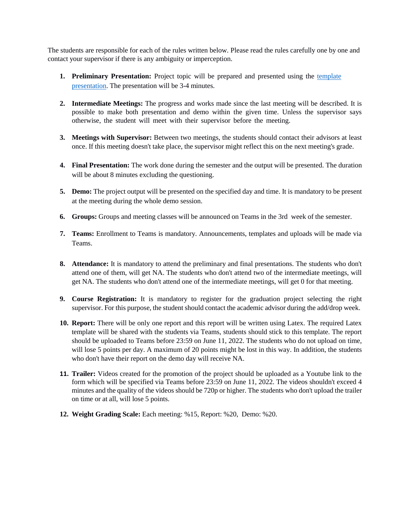The students are responsible for each of the rules written below. Please read the rules carefully one by one and contact your supervisor if there is any ambiguity or imperception.

- **1. Preliminary Presentation:** Project topic will be prepared and presented using the [template](https://www.gtu.edu.tr/Files/UserFiles/85/kaynaklar/Lisans_Bitirme_Projesi_lk_Sunum_Formati.pptx) [presentation.](https://www.gtu.edu.tr/Files/UserFiles/85/kaynaklar/Lisans_Bitirme_Projesi_lk_Sunum_Formati.pptx) The presentation will be 3-4 minutes.
- **2. Intermediate Meetings:** The progress and works made since the last meeting will be described. It is possible to make both presentation and demo within the given time. Unless the supervisor says otherwise, the student will meet with their supervisor before the meeting.
- **3. Meetings with Supervisor:** Between two meetings, the students should contact their advisors at least once. If this meeting doesn't take place, the supervisor might reflect this on the next meeting's grade.
- **4. Final Presentation:** The work done during the semester and the output will be presented. The duration will be about 8 minutes excluding the questioning.
- **5. Demo:** The project output will be presented on the specified day and time. It is mandatory to be present at the meeting during the whole demo session.
- **6. Groups:** Groups and meeting classes will be announced on Teams in the 3rd week of the semester.
- **7. Teams:** Enrollment to Teams is mandatory. Announcements, templates and uploads will be made via Teams.
- **8. Attendance:** It is mandatory to attend the preliminary and final presentations. The students who don't attend one of them, will get NA. The students who don't attend two of the intermediate meetings, will get NA. The students who don't attend one of the intermediate meetings, will get 0 for that meeting.
- **9. Course Registration:** It is mandatory to register for the graduation project selecting the right supervisor. For this purpose, the student should contact the academic advisor during the add/drop week.
- **10. Report:** There will be only one report and this report will be written using Latex. The required Latex template will be shared with the students via Teams, students should stick to this template. The report should be uploaded to Teams before 23:59 on June 11, 2022. The students who do not upload on time, will lose 5 points per day. A maximum of 20 points might be lost in this way. In addition, the students who don't have their report on the demo day will receive NA.
- **11. Trailer:** Videos created for the promotion of the project should be uploaded as a Youtube link to the form which will be specified via Teams before 23:59 on June 11, 2022. The videos shouldn't exceed 4 minutes and the quality of the videos should be 720p or higher. The students who don't upload the trailer on time or at all, will lose 5 points.
- **12. Weight Grading Scale:** Each meeting: %15, Report: %20, Demo: %20.